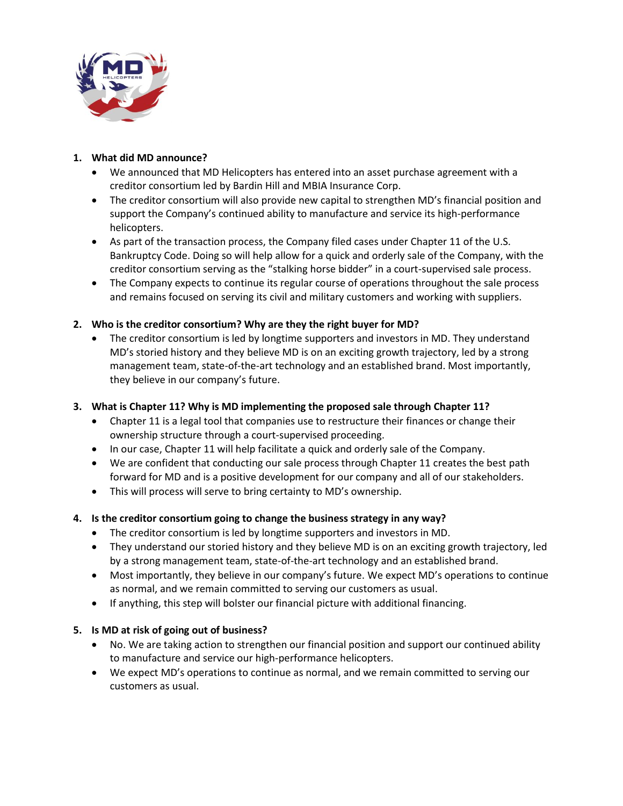

### **1. What did MD announce?**

- We announced that MD Helicopters has entered into an asset purchase agreement with a creditor consortium led by Bardin Hill and MBIA Insurance Corp.
- The creditor consortium will also provide new capital to strengthen MD's financial position and support the Company's continued ability to manufacture and service its high-performance helicopters.
- As part of the transaction process, the Company filed cases under Chapter 11 of the U.S. Bankruptcy Code. Doing so will help allow for a quick and orderly sale of the Company, with the creditor consortium serving as the "stalking horse bidder" in a court-supervised sale process.
- The Company expects to continue its regular course of operations throughout the sale process and remains focused on serving its civil and military customers and working with suppliers.

# **2. Who is the creditor consortium? Why are they the right buyer for MD?**

• The creditor consortium is led by longtime supporters and investors in MD. They understand MD's storied history and they believe MD is on an exciting growth trajectory, led by a strong management team, state-of-the-art technology and an established brand. Most importantly, they believe in our company's future.

# **3. What is Chapter 11? Why is MD implementing the proposed sale through Chapter 11?**

- Chapter 11 is a legal tool that companies use to restructure their finances or change their ownership structure through a court-supervised proceeding.
- In our case, Chapter 11 will help facilitate a quick and orderly sale of the Company.
- We are confident that conducting our sale process through Chapter 11 creates the best path forward for MD and is a positive development for our company and all of our stakeholders.
- This will process will serve to bring certainty to MD's ownership.

# **4. Is the creditor consortium going to change the business strategy in any way?**

- The creditor consortium is led by longtime supporters and investors in MD.
- They understand our storied history and they believe MD is on an exciting growth trajectory, led by a strong management team, state-of-the-art technology and an established brand.
- Most importantly, they believe in our company's future. We expect MD's operations to continue as normal, and we remain committed to serving our customers as usual.
- If anything, this step will bolster our financial picture with additional financing.

#### **5. Is MD at risk of going out of business?**

- No. We are taking action to strengthen our financial position and support our continued ability to manufacture and service our high-performance helicopters.
- We expect MD's operations to continue as normal, and we remain committed to serving our customers as usual.